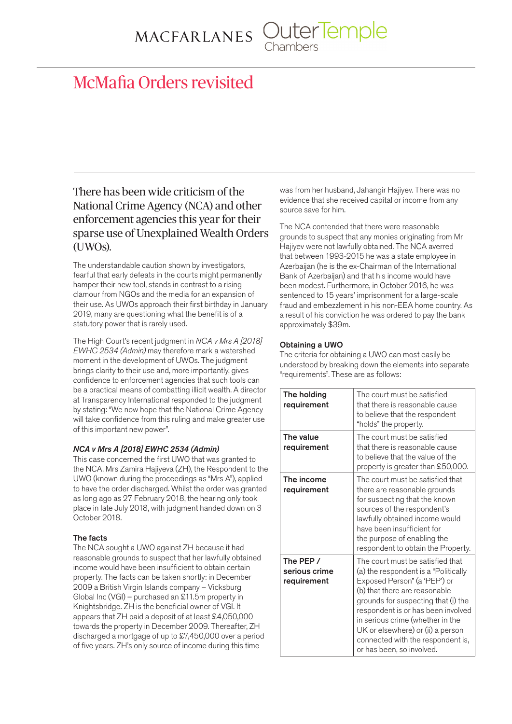MACFARLANES OuterTemple

# McMafia Orders revisited

# There has been wide criticism of the National Crime Agency (NCA) and other enforcement agencies this year for their sparse use of Unexplained Wealth Orders (UWOs).

The understandable caution shown by investigators, fearful that early defeats in the courts might permanently hamper their new tool, stands in contrast to a rising clamour from NGOs and the media for an expansion of their use. As UWOs approach their first birthday in January 2019, many are questioning what the benefit is of a statutory power that is rarely used.

The High Court's recent judgment in *NCA v Mrs A [2018] EWHC 2534 (Admin)* may therefore mark a watershed moment in the development of UWOs. The judgment brings clarity to their use and, more importantly, gives confidence to enforcement agencies that such tools can be a practical means of combatting illicit wealth. A director at Transparency International responded to the judgment by stating: "We now hope that the National Crime Agency will take confidence from this ruling and make greater use of this important new power".

# *NCA v Mrs A [2018] EWHC 2534 (Admin)*

This case concerned the first UWO that was granted to the NCA. Mrs Zamira Hajiyeva (ZH), the Respondent to the UWO (known during the proceedings as "Mrs A"), applied to have the order discharged. Whilst the order was granted as long ago as 27 February 2018, the hearing only took place in late July 2018, with judgment handed down on 3 October 2018.

# The facts

The NCA sought a UWO against ZH because it had reasonable grounds to suspect that her lawfully obtained income would have been insufficient to obtain certain property. The facts can be taken shortly: in December 2009 a British Virgin Islands company – Vicksburg Global Inc (VGI) – purchased an £11.5m property in Knightsbridge. ZH is the beneficial owner of VGI. It appears that ZH paid a deposit of at least £4,050,000 towards the property in December 2009. Thereafter, ZH discharged a mortgage of up to £7,450,000 over a period of five years. ZH's only source of income during this time

was from her husband, Jahangir Hajiyev. There was no evidence that she received capital or income from any source save for him.

The NCA contended that there were reasonable grounds to suspect that any monies originating from Mr Hajiyev were not lawfully obtained. The NCA averred that between 1993-2015 he was a state employee in Azerbaijan (he is the ex-Chairman of the International Bank of Azerbaijan) and that his income would have been modest. Furthermore, in October 2016, he was sentenced to 15 years' imprisonment for a large-scale fraud and embezzlement in his non-EEA home country. As a result of his conviction he was ordered to pay the bank approximately \$39m.

### Obtaining a UWO

The criteria for obtaining a UWO can most easily be understood by breaking down the elements into separate "requirements". These are as follows:

| The holding<br>requirement                | The court must be satisfied<br>that there is reasonable cause<br>to believe that the respondent<br>"holds" the property.                                                                                                                                                                                                                                          |
|-------------------------------------------|-------------------------------------------------------------------------------------------------------------------------------------------------------------------------------------------------------------------------------------------------------------------------------------------------------------------------------------------------------------------|
| The value<br>requirement                  | The court must be satisfied<br>that there is reasonable cause<br>to believe that the value of the<br>property is greater than £50,000.                                                                                                                                                                                                                            |
| The income<br>requirement                 | The court must be satisfied that<br>there are reasonable grounds<br>for suspecting that the known<br>sources of the respondent's<br>lawfully obtained income would<br>have been insufficient for<br>the purpose of enabling the<br>respondent to obtain the Property.                                                                                             |
| The PEP /<br>serious crime<br>requirement | The court must be satisfied that<br>(a) the respondent is a "Politically<br>Exposed Person" (a 'PEP') or<br>(b) that there are reasonable<br>grounds for suspecting that (i) the<br>respondent is or has been involved<br>in serious crime (whether in the<br>UK or elsewhere) or (ii) a person<br>connected with the respondent is,<br>or has been, so involved. |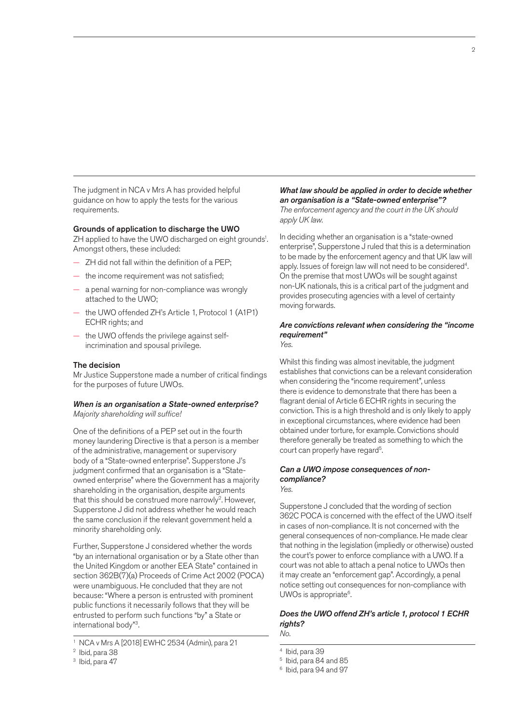The judgment in NCA v Mrs A has provided helpful guidance on how to apply the tests for the various requirements.

#### Grounds of application to discharge the UWO

ZH applied to have the UWO discharged on eight grounds<sup>1</sup>. Amongst others, these included:

- ZH did not fall within the definition of a PEP;
- the income requirement was not satisfied;
- a penal warning for non-compliance was wrongly attached to the UWO;
- the UWO offended ZH's Article 1, Protocol 1 (A1P1) ECHR rights; and
- the UWO offends the privilege against selfincrimination and spousal privilege.

#### The decision

Mr Justice Supperstone made a number of critical findings for the purposes of future UWOs.

#### *When is an organisation a State-owned enterprise? Majority shareholding will suffice!*

One of the definitions of a PEP set out in the fourth money laundering Directive is that a person is a member of the administrative, management or supervisory body of a "State-owned enterprise". Supperstone J's judgment confirmed that an organisation is a "Stateowned enterprise" where the Government has a majority shareholding in the organisation, despite arguments that this should be construed more narrowly<sup>2</sup>. However, Supperstone J did not address whether he would reach the same conclusion if the relevant government held a minority shareholding only.

Further, Supperstone J considered whether the words "by an international organisation or by a State other than the United Kingdom or another EEA State" contained in section 362B(7)(a) Proceeds of Crime Act 2002 (POCA) were unambiguous. He concluded that they are not because: "Where a person is entrusted with prominent public functions it necessarily follows that they will be entrusted to perform such functions "by" a State or international body"3.

#### *What law should be applied in order to decide whether an organisation is a "State-owned enterprise"? The enforcement agency and the court in the UK should*

*apply UK law.* 

In deciding whether an organisation is a "state-owned enterprise", Supperstone J ruled that this is a determination to be made by the enforcement agency and that UK law will apply. Issues of foreign law will not need to be considered<sup>4</sup>. On the premise that most UWOs will be sought against non-UK nationals, this is a critical part of the judgment and provides prosecuting agencies with a level of certainty moving forwards.

#### *Are convictions relevant when considering the "income requirement" Yes.*

Whilst this finding was almost inevitable, the judgment establishes that convictions can be a relevant consideration when considering the "income requirement", unless there is evidence to demonstrate that there has been a flagrant denial of Article 6 ECHR rights in securing the conviction. This is a high threshold and is only likely to apply in exceptional circumstances, where evidence had been obtained under torture, for example. Convictions should therefore generally be treated as something to which the

# *Can a UWO impose consequences of noncompliance?*

court can properly have regard<sup>5</sup>.

*Yes.*  Supperstone J concluded that the wording of section 362C POCA is concerned with the effect of the UWO itself in cases of non-compliance. It is not concerned with the general consequences of non-compliance. He made clear that nothing in the legislation (impliedly or otherwise) ousted the court's power to enforce compliance with a UWO. If a court was not able to attach a penal notice to UWOs then it may create an "enforcement gap". Accordingly, a penal

# *Does the UWO offend ZH's article 1, protocol 1 ECHR rights?*

notice setting out consequences for non-compliance with

*No.* 

UWOs is appropriate<sup>6</sup>.

- 5 Ibid, para 84 and 85
- 6 Ibid, para 94 and 97

<sup>1</sup> NCA v Mrs A [2018] EWHC 2534 (Admin), para 21

<sup>2</sup> Ibid, para 38

<sup>&</sup>lt;sup>3</sup> Ibid, para 47

<sup>4</sup> Ibid, para 39